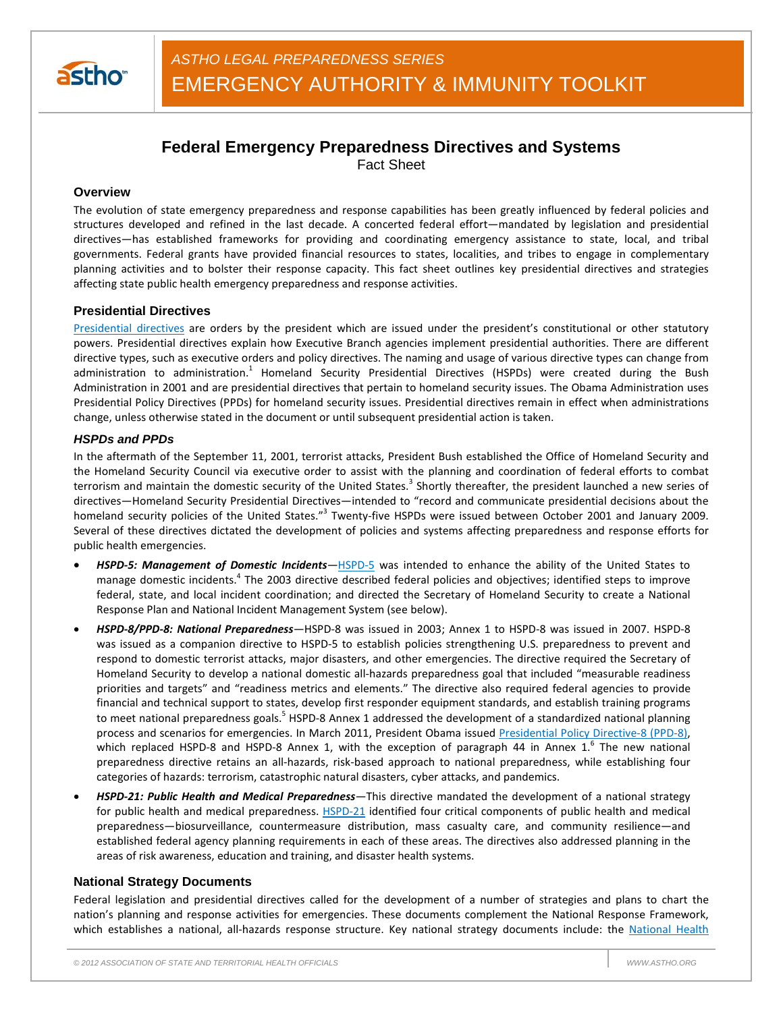

# **Federal Emergency Preparedness Directives and Systems**

Fact Sheet

## **Overview**

The evolution of state emergency preparedness and response capabilities has been greatly influenced by federal policies and structures developed and refined in the last decade. A concerted federal effort—mandated by legislation and presidential directives—has established frameworks for providing and coordinating emergency assistance to state, local, and tribal governments. Federal grants have provided financial resources to states, localities, and tribes to engage in complementary planning activities and to bolster their response capacity. This fact sheet outlines key presidential directives and strategies affecting state public health emergency preparedness and response activities.

## **Presidential Directives**

Presidential directives are orders by the president which are issued under the president's constitutional or other statutory powers. Presidential directives explain how Executive Branch agencies implement presidential authorities. There are different directive types, such as executive orders and policy directives. The naming and usage of various directive types can change from administration to administration.<sup>1</sup> Homeland Security Presidential Directives (HSPDs) were created during the Bush Administration in 2001 and are presidential directives that pertain to homeland security issues. The Obama Administration uses Presidential Policy Directives (PPDs) for homeland security issues. Presidential directives remain in effect when administrations change, unless otherwise stated in the document or until subsequent presidential action is taken.

### *HSPDs and PPDs*

In the aftermath of the September 11, 2001, terrorist attacks, President Bush established the Office of Homeland Security and the Homeland Security Council via executive order to assist with the planning and coordination of federal efforts to combat terrorism and maintain the domestic security of the United States.<sup>3</sup> Shortly thereafter, the president launched a new series of directives—Homeland Security Presidential Directives—intended to "record and communicate presidential decisions about the homeland security policies of the United States."<sup>3</sup> Twenty-five HSPDs were issued between October 2001 and January 2009. Several of these directives dictated the development of policies and systems affecting preparedness and response efforts for public health emergencies.

- *HSPD-5: Management of Domestic Incidents—*HSPD-5 was intended to enhance the ability of the United States to manage domestic incidents.<sup>4</sup> The 2003 directive described federal policies and objectives; identified steps to improve federal, state, and local incident coordination; and directed the Secretary of Homeland Security to create a National Response Plan and National Incident Management System (see below).
- *HSPD-8/PPD-8: National Preparedness—*HSPD-8 was issued in 2003; Annex 1 to HSPD-8 was issued in 2007. HSPD-8 was issued as a companion directive to HSPD-5 to establish policies strengthening U.S. preparedness to prevent and respond to domestic terrorist attacks, major disasters, and other emergencies. The directive required the Secretary of Homeland Security to develop a national domestic all-hazards preparedness goal that included "measurable readiness priorities and targets" and "readiness metrics and elements." The directive also required federal agencies to provide financial and technical support to states, develop first responder equipment standards, and establish training programs to meet national preparedness goals.<sup>5</sup> HSPD-8 Annex 1 addressed the development of a standardized national planning process and scenarios for emergencies. In March 2011, President Obama issued Presidential Policy Directive-8 (PPD-8), which replaced HSPD-8 and HSPD-8 Annex 1, with the exception of paragraph 44 in Annex  $1<sup>6</sup>$  The new national preparedness directive retains an all-hazards, risk-based approach to national preparedness, while establishing four categories of hazards: terrorism, catastrophic natural disasters, cyber attacks, and pandemics.
- *HSPD-21: Public Health and Medical Preparedness—*This directive mandated the development of a national strategy for public health and medical preparedness. HSPD-21 identified four critical components of public health and medical preparedness—biosurveillance, countermeasure distribution, mass casualty care, and community resilience—and established federal agency planning requirements in each of these areas. The directives also addressed planning in the areas of risk awareness, education and training, and disaster health systems.

### **National Strategy Documents**

Federal legislation and presidential directives called for the development of a number of strategies and plans to chart the nation's planning and response activities for emergencies. These documents complement the National Response Framework, which establishes a national, all-hazards response structure. Key national strategy documents include: the National Health